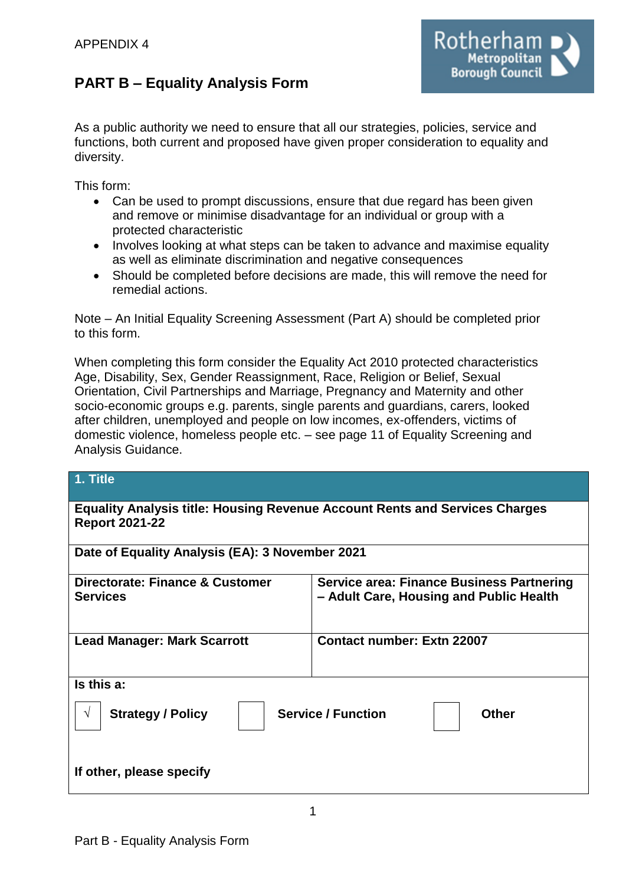# **PART B – Equality Analysis Form**

As a public authority we need to ensure that all our strategies, policies, service and

Rotherham

**Borough Council** 

functions, both current and proposed have given proper consideration to equality and diversity.

This form:

- Can be used to prompt discussions, ensure that due regard has been given and remove or minimise disadvantage for an individual or group with a protected characteristic
- Involves looking at what steps can be taken to advance and maximise equality as well as eliminate discrimination and negative consequences
- Should be completed before decisions are made, this will remove the need for remedial actions.

Note – An Initial Equality Screening Assessment (Part A) should be completed prior to this form.

When completing this form consider the Equality Act 2010 protected characteristics Age, Disability, Sex, Gender Reassignment, Race, Religion or Belief, Sexual Orientation, Civil Partnerships and Marriage, Pregnancy and Maternity and other socio-economic groups e.g. parents, single parents and guardians, carers, looked after children, unemployed and people on low incomes, ex-offenders, victims of domestic violence, homeless people etc. – see page 11 of Equality Screening and Analysis Guidance.

| 1. Title                                                                                                    |                                                                                             |  |
|-------------------------------------------------------------------------------------------------------------|---------------------------------------------------------------------------------------------|--|
| <b>Equality Analysis title: Housing Revenue Account Rents and Services Charges</b><br><b>Report 2021-22</b> |                                                                                             |  |
| Date of Equality Analysis (EA): 3 November 2021                                                             |                                                                                             |  |
| Directorate: Finance & Customer<br><b>Services</b>                                                          | <b>Service area: Finance Business Partnering</b><br>- Adult Care, Housing and Public Health |  |
| <b>Lead Manager: Mark Scarrott</b>                                                                          | <b>Contact number: Extn 22007</b>                                                           |  |
| Is this a:                                                                                                  |                                                                                             |  |
| <b>Service / Function</b><br><b>Strategy / Policy</b><br><b>Other</b><br>V                                  |                                                                                             |  |
| If other, please specify                                                                                    |                                                                                             |  |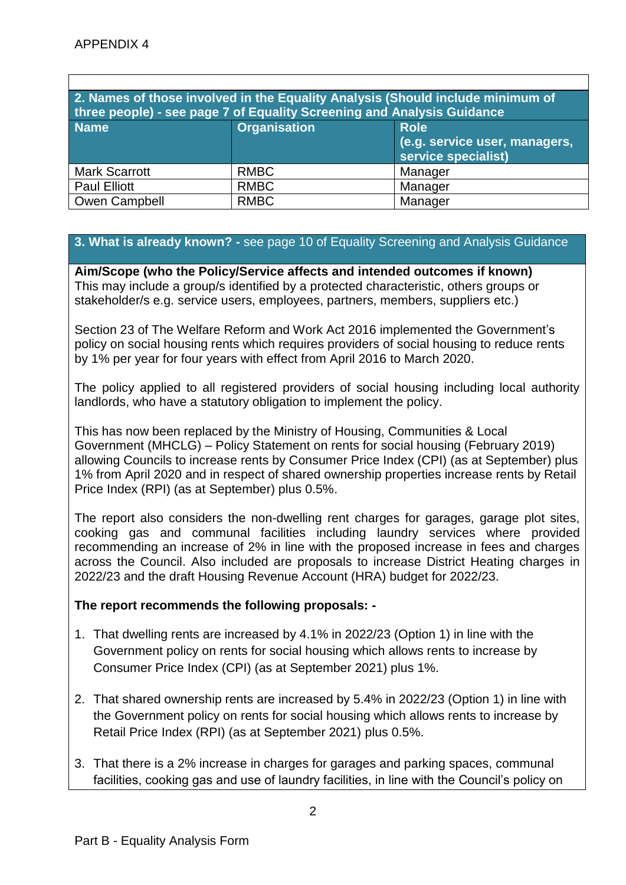| 2. Names of those involved in the Equality Analysis (Should include minimum of<br>three people) - see page 7 of Equality Screening and Analysis Guidance |                     |                                                      |  |
|----------------------------------------------------------------------------------------------------------------------------------------------------------|---------------------|------------------------------------------------------|--|
| <b>Name</b>                                                                                                                                              | <b>Organisation</b> | <b>Role</b>                                          |  |
|                                                                                                                                                          |                     | (e.g. service user, managers,<br>service specialist) |  |
| <b>Mark Scarrott</b>                                                                                                                                     | <b>RMBC</b>         | Manager                                              |  |
| <b>Paul Elliott</b>                                                                                                                                      | <b>RMBC</b>         | Manager                                              |  |
| Owen Campbell                                                                                                                                            | <b>RMBC</b>         | Manager                                              |  |

## **3. What is already known? -** see page 10 of Equality Screening and Analysis Guidance

**Aim/Scope (who the Policy/Service affects and intended outcomes if known)** This may include a group/s identified by a protected characteristic, others groups or stakeholder/s e.g. service users, employees, partners, members, suppliers etc.)

Section 23 of The Welfare Reform and Work Act 2016 implemented the Government's policy on social housing rents which requires providers of social housing to reduce rents by 1% per year for four years with effect from April 2016 to March 2020.

The policy applied to all registered providers of social housing including local authority landlords, who have a statutory obligation to implement the policy.

This has now been replaced by the Ministry of Housing, Communities & Local Government (MHCLG) – Policy Statement on rents for social housing (February 2019) allowing Councils to increase rents by Consumer Price Index (CPI) (as at September) plus 1% from April 2020 and in respect of shared ownership properties increase rents by Retail Price Index (RPI) (as at September) plus 0.5%.

The report also considers the non-dwelling rent charges for garages, garage plot sites, cooking gas and communal facilities including laundry services where provided recommending an increase of 2% in line with the proposed increase in fees and charges across the Council. Also included are proposals to increase District Heating charges in 2022/23 and the draft Housing Revenue Account (HRA) budget for 2022/23.

## **The report recommends the following proposals: -**

- 1. That dwelling rents are increased by 4.1% in 2022/23 (Option 1) in line with the Government policy on rents for social housing which allows rents to increase by Consumer Price Index (CPI) (as at September 2021) plus 1%.
- 2. That shared ownership rents are increased by 5.4% in 2022/23 (Option 1) in line with the Government policy on rents for social housing which allows rents to increase by Retail Price Index (RPI) (as at September 2021) plus 0.5%.
- 3. That there is a 2% increase in charges for garages and parking spaces, communal facilities, cooking gas and use of laundry facilities, in line with the Council's policy on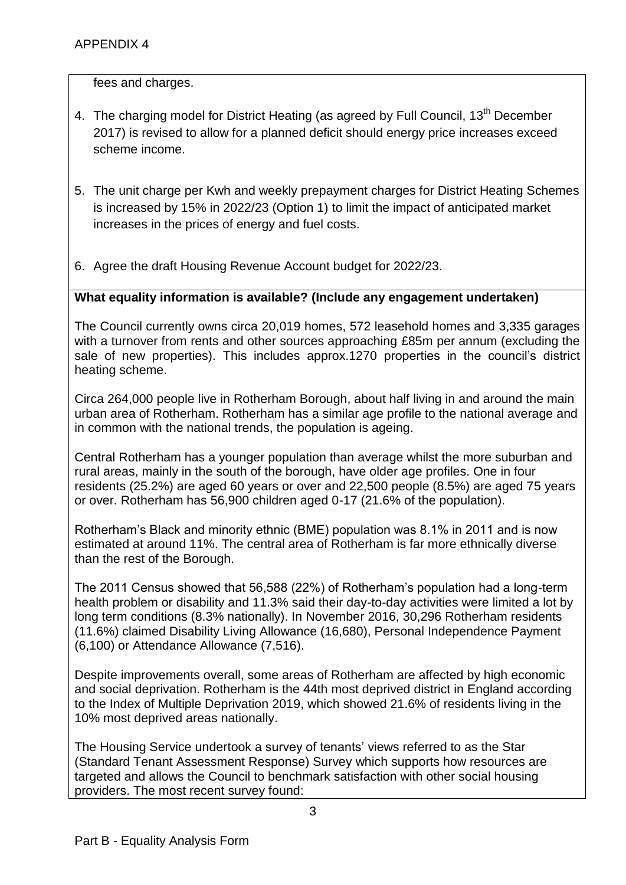fees and charges.

- 4. The charging model for District Heating (as agreed by Full Council, 13<sup>th</sup> December 2017) is revised to allow for a planned deficit should energy price increases exceed scheme income.
- 5. The unit charge per Kwh and weekly prepayment charges for District Heating Schemes is increased by 15% in 2022/23 (Option 1) to limit the impact of anticipated market increases in the prices of energy and fuel costs.
- 6. Agree the draft Housing Revenue Account budget for 2022/23.

## **What equality information is available? (Include any engagement undertaken)**

The Council currently owns circa 20,019 homes, 572 leasehold homes and 3,335 garages with a turnover from rents and other sources approaching £85m per annum (excluding the sale of new properties). This includes approx.1270 properties in the council's district heating scheme.

Circa 264,000 people live in Rotherham Borough, about half living in and around the main urban area of Rotherham. Rotherham has a similar age profile to the national average and in common with the national trends, the population is ageing.

Central Rotherham has a younger population than average whilst the more suburban and rural areas, mainly in the south of the borough, have older age profiles. One in four residents (25.2%) are aged 60 years or over and 22,500 people (8.5%) are aged 75 years or over. Rotherham has 56,900 children aged 0-17 (21.6% of the population).

Rotherham's Black and minority ethnic (BME) population was 8.1% in 2011 and is now estimated at around 11%. The central area of Rotherham is far more ethnically diverse than the rest of the Borough.

The 2011 Census showed that 56,588 (22%) of Rotherham's population had a long-term health problem or disability and 11.3% said their day-to-day activities were limited a lot by long term conditions (8.3% nationally). In November 2016, 30,296 Rotherham residents (11.6%) claimed Disability Living Allowance (16,680), Personal Independence Payment (6,100) or Attendance Allowance (7,516).

Despite improvements overall, some areas of Rotherham are affected by high economic and social deprivation. Rotherham is the 44th most deprived district in England according to the Index of Multiple Deprivation 2019, which showed 21.6% of residents living in the 10% most deprived areas nationally.

The Housing Service undertook a survey of tenants' views referred to as the Star (Standard Tenant Assessment Response) Survey which supports how resources are targeted and allows the Council to benchmark satisfaction with other social housing providers. The most recent survey found: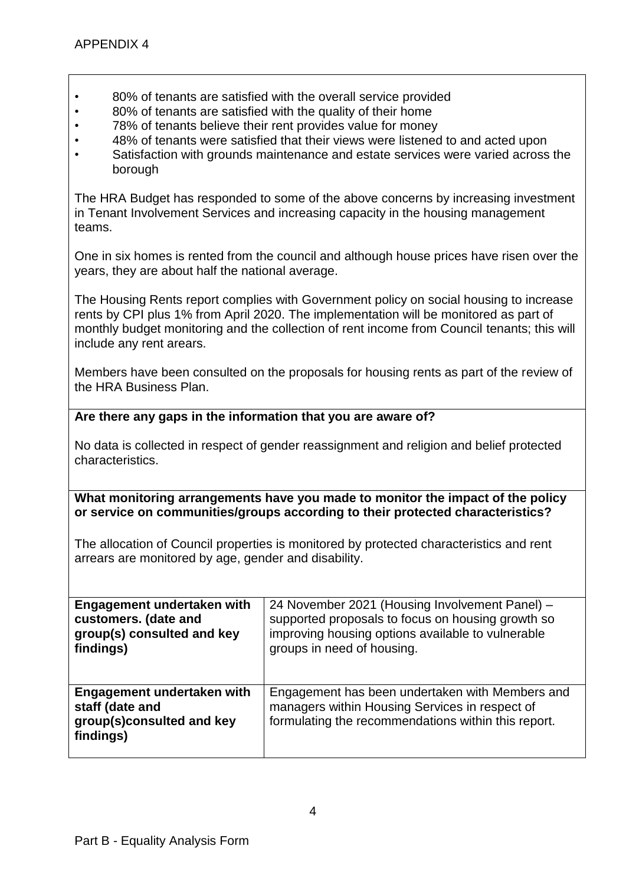- 80% of tenants are satisfied with the overall service provided
- 80% of tenants are satisfied with the quality of their home
- 78% of tenants believe their rent provides value for money
- 48% of tenants were satisfied that their views were listened to and acted upon
- Satisfaction with grounds maintenance and estate services were varied across the borough

The HRA Budget has responded to some of the above concerns by increasing investment in Tenant Involvement Services and increasing capacity in the housing management teams.

One in six homes is rented from the council and although house prices have risen over the years, they are about half the national average.

The Housing Rents report complies with Government policy on social housing to increase rents by CPI plus 1% from April 2020. The implementation will be monitored as part of monthly budget monitoring and the collection of rent income from Council tenants; this will include any rent arears.

Members have been consulted on the proposals for housing rents as part of the review of the HRA Business Plan.

### **Are there any gaps in the information that you are aware of?**

No data is collected in respect of gender reassignment and religion and belief protected characteristics.

**What monitoring arrangements have you made to monitor the impact of the policy or service on communities/groups according to their protected characteristics?**

The allocation of Council properties is monitored by protected characteristics and rent arrears are monitored by age, gender and disability.

| Engagement undertaken with                                                              | 24 November 2021 (Housing Involvement Panel) –                                                                                                           |
|-----------------------------------------------------------------------------------------|----------------------------------------------------------------------------------------------------------------------------------------------------------|
| customers. (date and                                                                    | supported proposals to focus on housing growth so                                                                                                        |
| group(s) consulted and key                                                              | improving housing options available to vulnerable                                                                                                        |
| findings)                                                                               | groups in need of housing.                                                                                                                               |
| Engagement undertaken with<br>staff (date and<br>group(s)consulted and key<br>findings) | Engagement has been undertaken with Members and<br>managers within Housing Services in respect of<br>formulating the recommendations within this report. |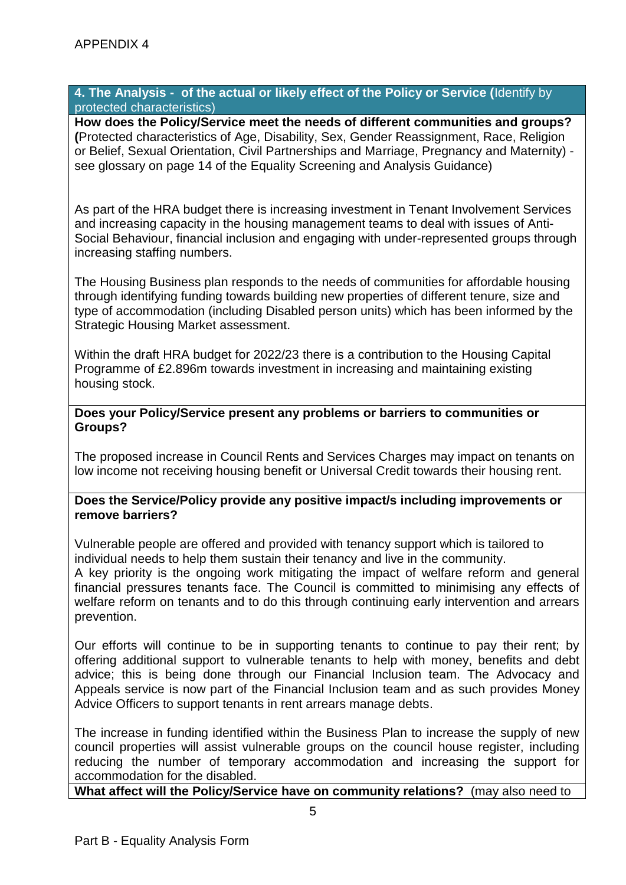#### **4. The Analysis - of the actual or likely effect of the Policy or Service (**Identify by protected characteristics)

**How does the Policy/Service meet the needs of different communities and groups? (**Protected characteristics of Age, Disability, Sex, Gender Reassignment, Race, Religion or Belief, Sexual Orientation, Civil Partnerships and Marriage, Pregnancy and Maternity) see glossary on page 14 of the Equality Screening and Analysis Guidance)

As part of the HRA budget there is increasing investment in Tenant Involvement Services and increasing capacity in the housing management teams to deal with issues of Anti-Social Behaviour, financial inclusion and engaging with under-represented groups through increasing staffing numbers.

The Housing Business plan responds to the needs of communities for affordable housing through identifying funding towards building new properties of different tenure, size and type of accommodation (including Disabled person units) which has been informed by the Strategic Housing Market assessment.

Within the draft HRA budget for 2022/23 there is a contribution to the Housing Capital Programme of £2.896m towards investment in increasing and maintaining existing housing stock.

#### **Does your Policy/Service present any problems or barriers to communities or Groups?**

The proposed increase in Council Rents and Services Charges may impact on tenants on low income not receiving housing benefit or Universal Credit towards their housing rent.

#### **Does the Service/Policy provide any positive impact/s including improvements or remove barriers?**

Vulnerable people are offered and provided with tenancy support which is tailored to individual needs to help them sustain their tenancy and live in the community.

A key priority is the ongoing work mitigating the impact of welfare reform and general financial pressures tenants face. The Council is committed to minimising any effects of welfare reform on tenants and to do this through continuing early intervention and arrears prevention.

Our efforts will continue to be in supporting tenants to continue to pay their rent; by offering additional support to vulnerable tenants to help with money, benefits and debt advice; this is being done through our Financial Inclusion team. The Advocacy and Appeals service is now part of the Financial Inclusion team and as such provides Money Advice Officers to support tenants in rent arrears manage debts.

The increase in funding identified within the Business Plan to increase the supply of new council properties will assist vulnerable groups on the council house register, including reducing the number of temporary accommodation and increasing the support for accommodation for the disabled.

**What affect will the Policy/Service have on community relations?** (may also need to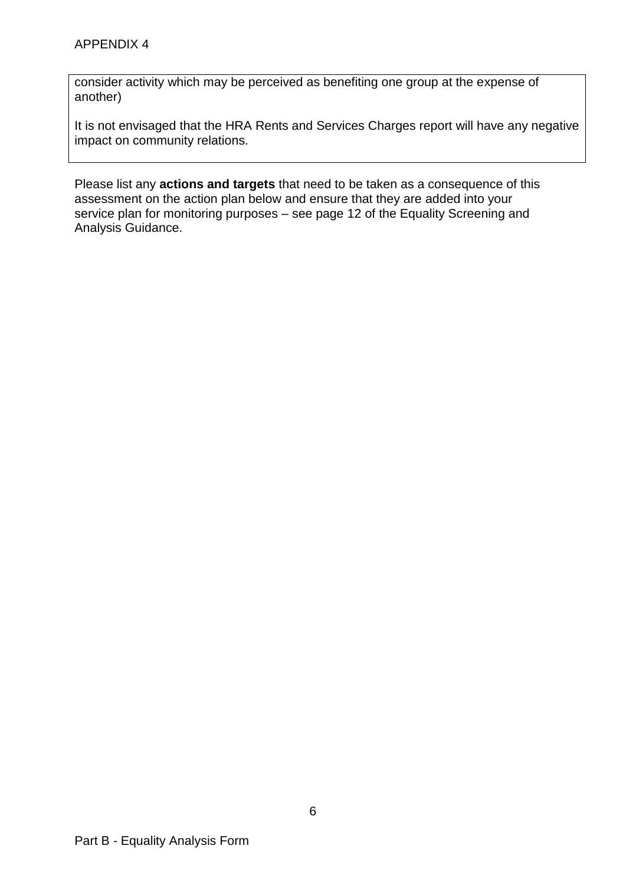consider activity which may be perceived as benefiting one group at the expense of another)

It is not envisaged that the HRA Rents and Services Charges report will have any negative impact on community relations.

Please list any **actions and targets** that need to be taken as a consequence of this assessment on the action plan below and ensure that they are added into your service plan for monitoring purposes – see page 12 of the Equality Screening and Analysis Guidance.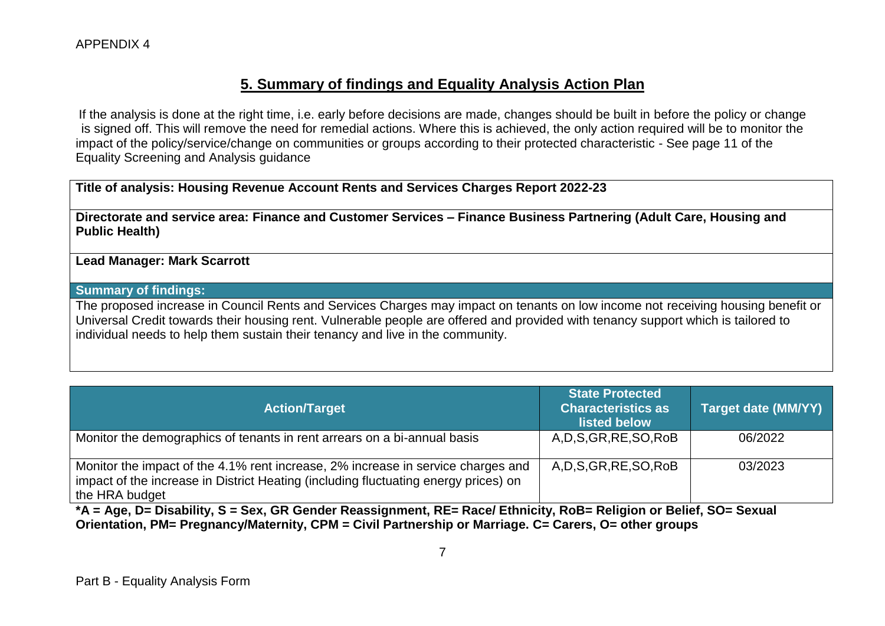# **5. Summary of findings and Equality Analysis Action Plan**

If the analysis is done at the right time, i.e. early before decisions are made, changes should be built in before the policy or change is signed off. This will remove the need for remedial actions. Where this is achieved, the only action required will be to monitor the impact of the policy/service/change on communities or groups according to their protected characteristic - See page 11 of the Equality Screening and Analysis guidance

### **Title of analysis: Housing Revenue Account Rents and Services Charges Report 2022-23**

**Directorate and service area: Finance and Customer Services – Finance Business Partnering (Adult Care, Housing and Public Health)** 

#### **Lead Manager: Mark Scarrott**

#### **Summary of findings:**

The proposed increase in Council Rents and Services Charges may impact on tenants on low income not receiving housing benefit or Universal Credit towards their housing rent. Vulnerable people are offered and provided with tenancy support which is tailored to individual needs to help them sustain their tenancy and live in the community.

| <b>Action/Target</b>                                                                                                                                                                      | <b>State Protected</b><br><b>Characteristics as</b><br>listed below | <b>Target date (MM/YY)</b> |
|-------------------------------------------------------------------------------------------------------------------------------------------------------------------------------------------|---------------------------------------------------------------------|----------------------------|
| Monitor the demographics of tenants in rent arrears on a bi-annual basis                                                                                                                  | A, D, S, GR, RE, SO, RoB                                            | 06/2022                    |
| Monitor the impact of the 4.1% rent increase, 2% increase in service charges and<br>impact of the increase in District Heating (including fluctuating energy prices) on<br>the HRA budget | A, D, S, GR, RE, SO, RoB                                            | 03/2023                    |

**\*A = Age, D= Disability, S = Sex, GR Gender Reassignment, RE= Race/ Ethnicity, RoB= Religion or Belief, SO= Sexual Orientation, PM= Pregnancy/Maternity, CPM = Civil Partnership or Marriage. C= Carers, O= other groups**